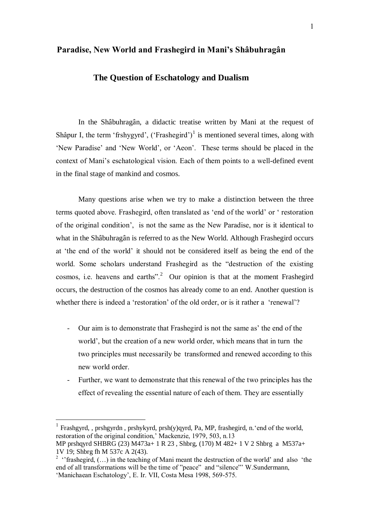# **Paradise, New World and Frashegird in Mani's Shâbuhragân**

# **The Question of Eschatology and Dualism**

In the Shâbuhragân, a didactic treatise written by Mani at the request of Shâpur I, the term 'frshygyrd',  $('Frashegird')<sup>1</sup>$  is mentioned several times, along with 'New Paradise' and 'New World', or 'Aeon'. These terms should be placed in the context of Mani's eschatological vision. Each of them points to a well-defined event in the final stage of mankind and cosmos.

Many questions arise when we try to make a distinction between the three terms quoted above. Frashegird, often translated as 'end of the world' or ' restoration of the original condition', is not the same as the New Paradise, nor is it identical to what in the Shâbuhragân is referred to as the New World. Although Frashegird occurs at 'the end of the world' it should not be considered itself as being the end of the world. Some scholars understand Frashegird as the "destruction of the existing cosmos, i.e. heavens and earths".<sup>2</sup> Our opinion is that at the moment Frashegird occurs, the destruction of the cosmos has already come to an end. Another question is whether there is indeed a 'restoration' of the old order, or is it rather a 'renewal'?

- Our aim is to demonstrate that Frashegird is not the same as' the end of the world', but the creation of a new world order, which means that in turn the two principles must necessarily be transformed and renewed according to this new world order.
- Further, we want to demonstrate that this renewal of the two principles has the effect of revealing the essential nature of each of them. They are essentially

 $\overline{a}$ 

<sup>&</sup>lt;sup>1</sup> Frashgyrd, , prshgyrdn, prshykyrd, prsh(y)qyrd, Pa, MP, frashegird, n. 'end of the world, restoration of the original condition,' Mackenzie, 1979, 503, n.13

MP prshqyrd SHBRG (23) M473a+ 1 R 23 , Shbrg, (170) M 482+ 1 V 2 Shbrg a M537a+ 1V 19; Shbrg fh M 537c A 2(43).

<sup>&</sup>lt;sup>2</sup> "frashegird,  $(...)$  in the teaching of Mani meant the destruction of the world' and also 'the end of all transformations will be the time of "peace" and "silence"' W.Sundermann, 'Manichaean Eschatology', E. Ir. VII, Costa Mesa 1998, 569-575.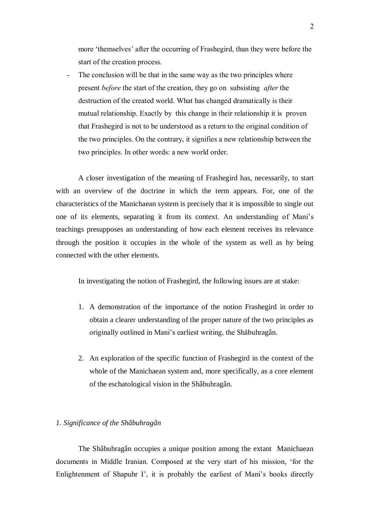more 'themselves' after the occurring of Frashegird, than they were before the start of the creation process.

The conclusion will be that in the same way as the two principles where present *before* the start of the creation, they go on subsisting *after* the destruction of the created world. What has changed dramatically is their mutual relationship. Exactly by this change in their relationship it is proven that Frashegird is not to be understood as a return to the original condition of the two principles. On the contrary, it signifies a new relationship between the two principles. In other words: a new world order.

A closer investigation of the meaning of Frashegird has, necessarily, to start with an overview of the doctrine in which the term appears. For, one of the characteristics of the Manichaean system is precisely that it is impossible to single out one of its elements, separating it from its context. An understanding of Mani's teachings presupposes an understanding of how each element receives its relevance through the position it occupies in the whole of the system as well as by being connected with the other elements.

In investigating the notion of Frashegird, the following issues are at stake:

- 1. A demonstration of the importance of the notion Frashegird in order to obtain a clearer understanding of the proper nature of the two principles as originally outlined in Mani's earliest writing, the Shâbuhragân.
- 2. An exploration of the specific function of Frashegird in the context of the whole of the Manichaean system and, more specifically, as a core element of the eschatological vision in the Shâbuhragân.

### *1. Significance of the Shâbuhragân*

The Shâbuhragân occupies a unique position among the extant Manichaean documents in Middle Iranian. Composed at the very start of his mission, 'for the Enlightenment of Shapuhr I', it is probably the earliest of Mani's books directly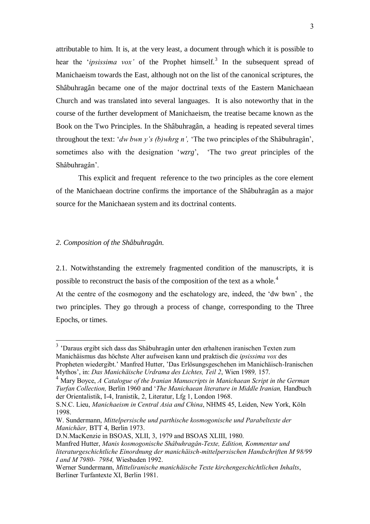attributable to him. It is, at the very least, a document through which it is possible to hear the *'ipsissima vox'* of the Prophet himself.<sup>3</sup> In the subsequent spread of Manichaeism towards the East, although not on the list of the canonical scriptures, the Shâbuhragân became one of the major doctrinal texts of the Eastern Manichaean Church and was translated into several languages. It is also noteworthy that in the course of the further development of Manichaeism, the treatise became known as the Book on the Two Principles. In the Shâbuhragân, a heading is repeated several times throughout the text: '*dw bwn y's (b)whrg n',* 'The two principles of the Shâbuhragân', sometimes also with the designation '*wzrg*', 'The two *great* principles of the Shâbuhragân'.

This explicit and frequent reference to the two principles as the core element of the Manichaean doctrine confirms the importance of the Shâbuhragân as a major source for the Manichaean system and its doctrinal contents.

### *2. Composition of the Shâbuhragân.*

 $\overline{a}$ 

2.1. Notwithstanding the extremely fragmented condition of the manuscripts, it is possible to reconstruct the basis of the composition of the text as a whole.<sup>4</sup>

At the centre of the cosmogony and the eschatology are, indeed, the 'dw bwn' , the two principles. They go through a process of change, corresponding to the Three Epochs, or times.

<sup>&</sup>lt;sup>3</sup> 'Daraus ergibt sich dass das Shâbuhragân unter den erhaltenen iranischen Texten zum Manichäismus das höchste Alter aufweisen kann und praktisch die *ipsissima vox* des Propheten wiedergibt.' Manfred Hutter, 'Das Erlösungsgeschehen im Manichäisch-Iranischen Mythos', in: *Das Manichäische Urdrama des Lichtes, Teil 2*, Wien 1989*,* 157.

<sup>4</sup> Mary Boyce, *A Catalogue of the Iranian Manuscripts in Manichaean Script in the German* 

*Turfan Collection,* Berlin 1960 and '*The Manichaean literature in Middle Iranian,* Handbuch der Orientalistik, I-4, Iranistik, 2, Literatur, Lfg 1, London 1968.

S.N.C. Lieu, *Manichaeism in Central Asia and China*, NHMS 45, Leiden, New York, Köln 1998.

W. Sundermann, *Mittelpersische und parthische kosmogonische und Parabeltexte der Manichäer,* BTT 4, Berlin 1973.

D.N.MacKenzie in BSOAS, XLII, 3, 1979 and BSOAS XLIII, 1980.

Manfred Hutter, *Manis kosmogonische Shâbuhragân-Texte, Edition, Kommentar und literaturgeschichtliche Einordnung der manichäisch-mittelpersischen Handschriften M 98/99 I and M 7980- 7984,* Wiesbaden 1992.

Werner Sundermann, *Mitteliranische manichäische Texte kirchengeschichtlichen Inhalts*, Berliner Turfantexte XI, Berlin 1981.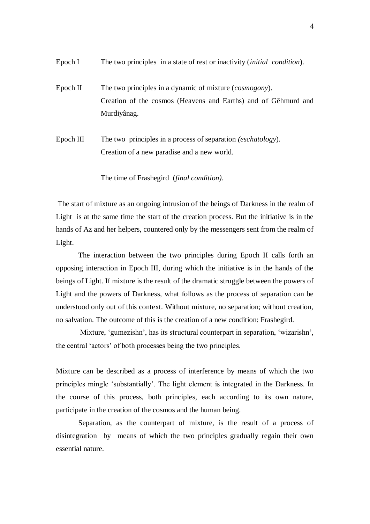- Epoch I The two principles in a state of rest or inactivity (*initial condition*).
- Epoch II The two principles in a dynamic of mixture (*cosmogony*). Creation of the cosmos (Heavens and Earths) and of Gêhmurd and Murdiyânag.
- Epoch III The two principles in a process of separation *(eschatology*). Creation of a new paradise and a new world.

The time of Frashegird (*final condition).*

The start of mixture as an ongoing intrusion of the beings of Darkness in the realm of Light is at the same time the start of the creation process. But the initiative is in the hands of Az and her helpers, countered only by the messengers sent from the realm of Light.

 The interaction between the two principles during Epoch II calls forth an opposing interaction in Epoch III, during which the initiative is in the hands of the beings of Light. If mixture is the result of the dramatic struggle between the powers of Light and the powers of Darkness, what follows as the process of separation can be understood only out of this context. Without mixture, no separation; without creation, no salvation. The outcome of this is the creation of a new condition: Frashegird.

Mixture, 'gumezishn', has its structural counterpart in separation, 'wizarishn', the central 'actors' of both processes being the two principles.

Mixture can be described as a process of interference by means of which the two principles mingle 'substantially'. The light element is integrated in the Darkness. In the course of this process, both principles, each according to its own nature, participate in the creation of the cosmos and the human being.

Separation, as the counterpart of mixture, is the result of a process of disintegration by means of which the two principles gradually regain their own essential nature.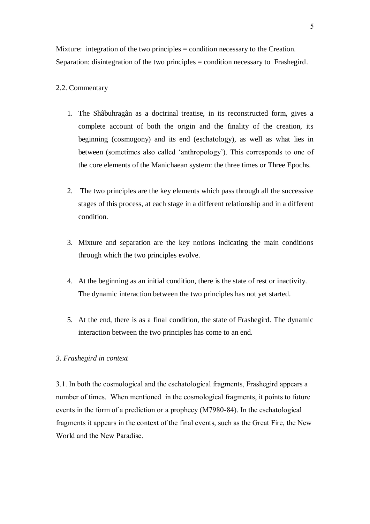Mixture: integration of the two principles = condition necessary to the Creation. Separation: disintegration of the two principles = condition necessary to Frashegird.

# 2.2. Commentary

- 1. The Shâbuhragân as a doctrinal treatise, in its reconstructed form, gives a complete account of both the origin and the finality of the creation, its beginning (cosmogony) and its end (eschatology), as well as what lies in between (sometimes also called 'anthropology'). This corresponds to one of the core elements of the Manichaean system: the three times or Three Epochs.
- 2. The two principles are the key elements which pass through all the successive stages of this process, at each stage in a different relationship and in a different condition.
- 3. Mixture and separation are the key notions indicating the main conditions through which the two principles evolve.
- 4. At the beginning as an initial condition, there is the state of rest or inactivity. The dynamic interaction between the two principles has not yet started.
- 5. At the end, there is as a final condition, the state of Frashegird. The dynamic interaction between the two principles has come to an end.

### *3. Frashegird in context*

3.1. In both the cosmological and the eschatological fragments, Frashegird appears a number of times. When mentioned in the cosmological fragments, it points to future events in the form of a prediction or a prophecy (M7980-84). In the eschatological fragments it appears in the context of the final events, such as the Great Fire, the New World and the New Paradise.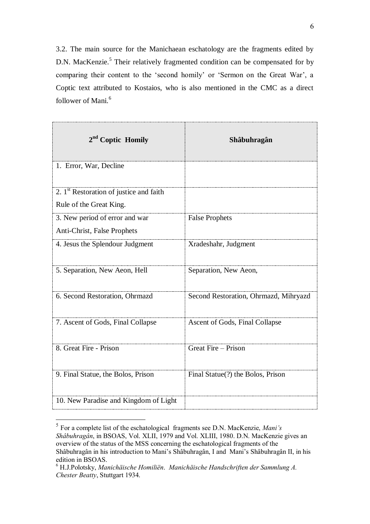3.2. The main source for the Manichaean eschatology are the fragments edited by D.N. MacKenzie.<sup>5</sup> Their relatively fragmented condition can be compensated for by comparing their content to the 'second homily' or 'Sermon on the Great War', a Coptic text attributed to Kostaios, who is also mentioned in the CMC as a direct follower of Mani.<sup>6</sup>

| 2 <sup>nd</sup> Coptic Homily             | Shâbuhragân                           |
|-------------------------------------------|---------------------------------------|
| 1. Error, War, Decline                    |                                       |
| 2. $1st$ Restoration of justice and faith |                                       |
| Rule of the Great King.                   |                                       |
| 3. New period of error and war            | <b>False Prophets</b>                 |
| Anti-Christ, False Prophets               |                                       |
| 4. Jesus the Splendour Judgment           | Xradeshahr, Judgment                  |
| 5. Separation, New Aeon, Hell             | Separation, New Aeon,                 |
| 6. Second Restoration, Ohrmazd            | Second Restoration, Ohrmazd, Mihryazd |
| 7. Ascent of Gods, Final Collapse         | Ascent of Gods, Final Collapse        |
| 8. Great Fire - Prison                    | Great Fire – Prison                   |
| 9. Final Statue, the Bolos, Prison        | Final Statue(?) the Bolos, Prison     |
| 10. New Paradise and Kingdom of Light     |                                       |

 5 For a complete list of the eschatological fragments see D.N. MacKenzie, *Mani's Shâbuhragân*, in BSOAS, Vol. XLII, 1979 and Vol. XLIII, 1980. D.N. MacKenzie gives an overview of the status of the MSS concerning the eschatological fragments of the Shâbuhragân in his introduction to Mani's Shâbuhragân, I and Mani's Shâbuhragân II, in his edition in BSOAS.

<sup>6</sup> H.J.Polotsky, *Manichäische Homiliën*. *Manichäische Handschriften der Sammlung A. Chester Beatty*, Stuttgart 1934.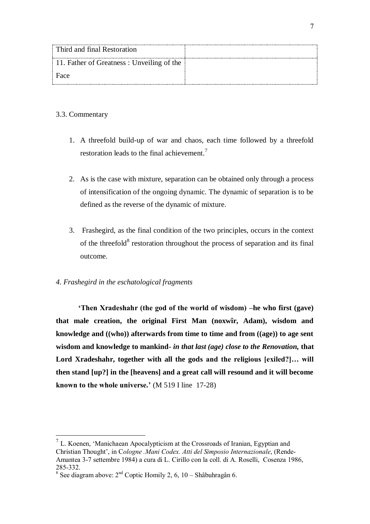| Third and final Restoration               |  |
|-------------------------------------------|--|
| 11. Father of Greatness: Unveiling of the |  |
| Face                                      |  |

# 3.3. Commentary

 $\overline{a}$ 

- 1. A threefold build-up of war and chaos, each time followed by a threefold restoration leads to the final achievement.<sup>7</sup>
- 2. As is the case with mixture, separation can be obtained only through a process of intensification of the ongoing dynamic. The dynamic of separation is to be defined as the reverse of the dynamic of mixture.
- 3. Frashegird, as the final condition of the two principles, occurs in the context of the threefold<sup>8</sup> restoration throughout the process of separation and its final outcome.

# *4. Frashegird in the eschatological fragments*

**'Then Xradeshahr (the god of the world of wisdom) –he who first (gave) that male creation, the original First Man (noxwîr, Adam), wisdom and knowledge and ((who)) afterwards from time to time and from ((age)) to age sent wisdom and knowledge to mankind-** *in that last (age) close to the Renovation,* **that Lord Xradeshahr, together with all the gods and the religious [exiled?]… will then stand [up?] in the [heavens] and a great call will resound and it will become known to the whole universe.'** (M 519 I line 17-28)

 $<sup>7</sup>$  L. Koenen, 'Manichaean Apocalypticism at the Crossroads of Iranian, Egyptian and</sup> Christian Thought', in C*ologne .Mani Codex. Atti del Simposio Internazionale*, (Rende-Amantea 3-7 settembre 1984) a cura di L. Cirillo con la coll. di A. Roselli, Cosenza 1986, 285-332.

<sup>&</sup>lt;sup>8</sup> See diagram above:  $2<sup>nd</sup>$  Coptic Homily 2, 6, 10 – Shâbuhragân 6.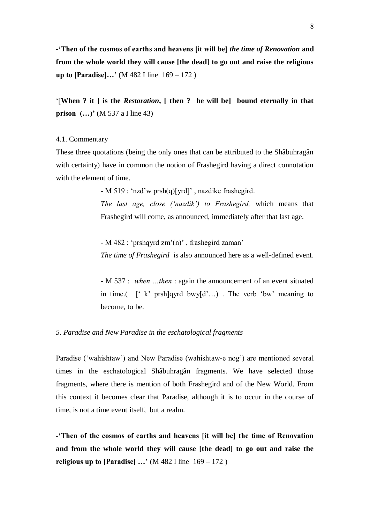**-'Then of the cosmos of earths and heavens [it will be]** *the time of Renovation* **and from the whole world they will cause [the dead] to go out and raise the religious up to [Paradise]…'** (M 482 I line 169 – 172 )

'[**When ? it ] is the** *Restoration***, [ then ? he will be] bound eternally in that prison** (...)' (M 537 a I line 43)

### 4.1. Commentary

These three quotations (being the only ones that can be attributed to the Shâbuhragân with certainty) have in common the notion of Frashegird having a direct connotation with the element of time.

- M 519 : 'nzd'w prsh(q)[yrd]' , nazdike frashegird.

*The last age, close ('nazdik') to Frashegird,* which means that Frashegird will come, as announced, immediately after that last age.

- M 482 : 'prshqyrd zm'(n)' , frashegird zaman' *The time of Frashegird* is also announced here as a well-defined event.

- M 537 : *when …then* : again the announcement of an event situated in time.(  $\int f(x^2) \text{ arab}^2 \, dx$  bwy $\int d^2 \dots$ ) . The verb 'bw' meaning to become, to be.

### *5. Paradise and New Paradise in the eschatological fragments*

Paradise ('wahishtaw') and New Paradise (wahishtaw-e nog') are mentioned several times in the eschatological Shâbuhragân fragments. We have selected those fragments, where there is mention of both Frashegird and of the New World. From this context it becomes clear that Paradise, although it is to occur in the course of time, is not a time event itself, but a realm.

**-'Then of the cosmos of earths and heavens [it will be] the time of Renovation and from the whole world they will cause [the dead] to go out and raise the religious up to [Paradise] ...'** (M 482 I line  $169 - 172$ )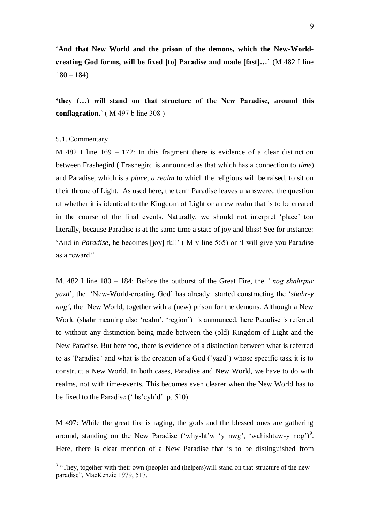'**And that New World and the prison of the demons, which the New-Worldcreating God forms, will be fixed [to] Paradise and made [fast]…'** (M 482 I line  $180 - 184$ 

**'they (…) will stand on that structure of the New Paradise***,* **around this conflagration.**' ( M 497 b line 308 )

### 5.1. Commentary

 $\overline{a}$ 

M 482 I line 169 – 172: In this fragment there is evidence of a clear distinction between Frashegird ( Frashegird is announced as that which has a connection to *time*) and Paradise, which is a *place, a realm* to which the religious will be raised, to sit on their throne of Light. As used here, the term Paradise leaves unanswered the question of whether it is identical to the Kingdom of Light or a new realm that is to be created in the course of the final events. Naturally, we should not interpret 'place' too literally, because Paradise is at the same time a state of joy and bliss! See for instance: 'And in *Paradise,* he becomes [joy] full' ( M v line 565) or 'I will give you Paradise as a reward!'

M. 482 I line 180 – 184: Before the outburst of the Great Fire, the *' nog shahrpur yazd*', the 'New-World-creating God' has already started constructing the '*shahr-y nog'*, the New World, together with a (new) prison for the demons. Although a New World (shahr meaning also 'realm', 'region') is announced, here Paradise is referred to without any distinction being made between the (old) Kingdom of Light and the New Paradise. But here too, there is evidence of a distinction between what is referred to as 'Paradise' and what is the creation of a God ('yazd') whose specific task it is to construct a New World. In both cases, Paradise and New World, we have to do with realms, not with time-events. This becomes even clearer when the New World has to be fixed to the Paradise (' hs'cyh'd' p. 510).

M 497: While the great fire is raging, the gods and the blessed ones are gathering around, standing on the New Paradise ('whysht'w 'y nwg', 'wahishtaw-y nog')<sup>9</sup>. Here, there is clear mention of a New Paradise that is to be distinguished from

<sup>&</sup>lt;sup>9</sup> "They, together with their own (people) and (helpers) will stand on that structure of the new paradise", MacKenzie 1979, 517.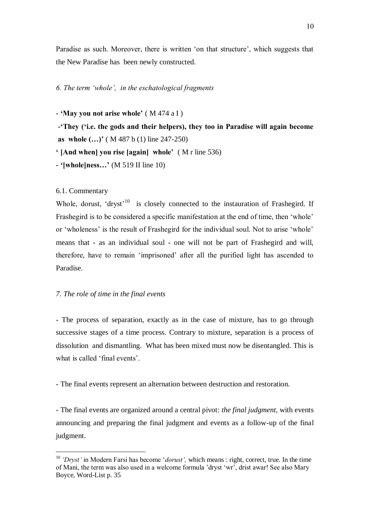Paradise as such. Moreover, there is written 'on that structure', which suggests that the New Paradise has been newly constructed.

## *6. The term 'whole', in the eschatological fragments*

**- 'May you not arise whole'** ( M 474 a I )

**-'They ('i.e. the gods and their helpers), they too in Paradise will again become as whole (…)'** ( M 487 b (1) line 247-250)

**' [And when] you rise [again] whole'** ( M r line 536)

**- '[whole]ness…'** (M 519 II line 10)

6.1. Commentary

 $\overline{a}$ 

Whole, dorust, 'dryst'<sup>10</sup> is closely connected to the instauration of Frashegird. If Frashegird is to be considered a specific manifestation at the end of time, then 'whole' or 'wholeness' is the result of Frashegird for the individual soul. Not to arise 'whole' means that - as an individual soul - one will not be part of Frashegird and will, therefore, have to remain 'imprisoned' after all the purified light has ascended to Paradise.

### *7. The role of time in the final events*

- The process of separation, exactly as in the case of mixture, has to go through successive stages of a time process. Contrary to mixture, separation is a process of dissolution and dismantling. What has been mixed must now be disentangled. This is what is called 'final events'.

- The final events represent an alternation between destruction and restoration.

- The final events are organized around a central pivot: *the final judgment,* with events announcing and preparing the final judgment and events as a follow-up of the final judgment.

<sup>10</sup> *'Dryst'* in Modern Farsi has become '*dorust',* which means : right, correct, true. In the time of Mani, the term was also used in a welcome formula 'dryst 'wr', drist awar! See also Mary Boyce, Word-List p. 35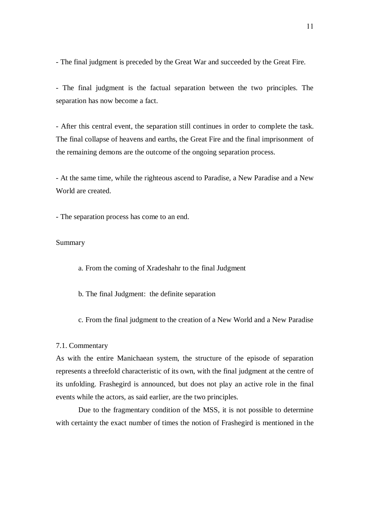- The final judgment is preceded by the Great War and succeeded by the Great Fire.

- The final judgment is the factual separation between the two principles. The separation has now become a fact.

- After this central event, the separation still continues in order to complete the task. The final collapse of heavens and earths, the Great Fire and the final imprisonment of the remaining demons are the outcome of the ongoing separation process.

- At the same time, while the righteous ascend to Paradise, a New Paradise and a New World are created.

- The separation process has come to an end.

# Summary

a. From the coming of Xradeshahr to the final Judgment

- b. The final Judgment: the definite separation
- c. From the final judgment to the creation of a New World and a New Paradise

#### 7.1. Commentary

As with the entire Manichaean system, the structure of the episode of separation represents a threefold characteristic of its own, with the final judgment at the centre of its unfolding. Frashegird is announced, but does not play an active role in the final events while the actors, as said earlier, are the two principles.

Due to the fragmentary condition of the MSS, it is not possible to determine with certainty the exact number of times the notion of Frashegird is mentioned in the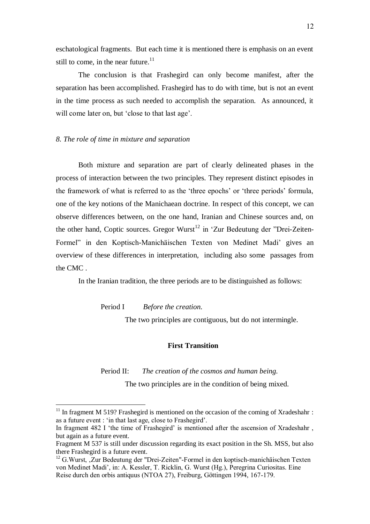eschatological fragments. But each time it is mentioned there is emphasis on an event still to come, in the near future. $11$ 

The conclusion is that Frashegird can only become manifest, after the separation has been accomplished. Frashegird has to do with time, but is not an event in the time process as such needed to accomplish the separation. As announced, it will come later on, but 'close to that last age'.

### *8. The role of time in mixture and separation*

Both mixture and separation are part of clearly delineated phases in the process of interaction between the two principles. They represent distinct episodes in the framework of what is referred to as the 'three epochs' or 'three periods' formula, one of the key notions of the Manichaean doctrine. In respect of this concept, we can observe differences between, on the one hand, Iranian and Chinese sources and, on the other hand, Coptic sources. Gregor Wurst<sup>12</sup> in 'Zur Bedeutung der "Drei-Zeiten-Formel" in den Koptisch-Manichäischen Texten von Medinet Madi' gives an overview of these differences in interpretation, including also some passages from the CMC .

In the Iranian tradition, the three periods are to be distinguished as follows:

Period I *Before the creation.*

 $\overline{a}$ 

The two principles are contiguous, but do not intermingle.

# **First Transition**

Period II: *The creation of the cosmos and human being.* The two principles are in the condition of being mixed.

 $11$  In fragment M 519? Frashegird is mentioned on the occasion of the coming of Xradeshahr : as a future event : 'in that last age, close to Frashegird'.

In fragment 482 I 'the time of Frashegird' is mentioned after the ascension of Xradeshahr , but again as a future event.

Fragment M 537 is still under discussion regarding its exact position in the Sh. MSS, but also there Frashegird is a future event.

 $12$  G. Wurst,  $Z$ ur Bedeutung der "Drei-Zeiten"-Formel in den koptisch-manichäischen Texten von Medinet Madi', in: A. Kessler, T. Ricklin, G. Wurst (Hg.), Peregrina Curiositas. Eine Reise durch den orbis antiquus (NTOA 27), Freiburg, Göttingen 1994, 167-179.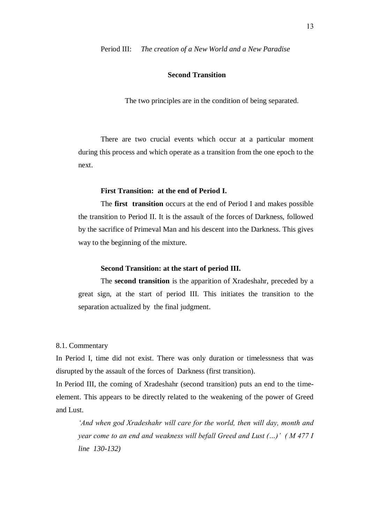Period III: *The creation of a New World and a New Paradise*

# **Second Transition**

The two principles are in the condition of being separated.

There are two crucial events which occur at a particular moment during this process and which operate as a transition from the one epoch to the next.

# **First Transition: at the end of Period I.**

The **first transition** occurs at the end of Period I and makes possible the transition to Period II. It is the assault of the forces of Darkness, followed by the sacrifice of Primeval Man and his descent into the Darkness. This gives way to the beginning of the mixture.

### **Second Transition: at the start of period III.**

The **second transition** is the apparition of Xradeshahr, preceded by a great sign, at the start of period III. This initiates the transition to the separation actualized by the final judgment.

#### 8.1. Commentary

In Period I, time did not exist. There was only duration or timelessness that was disrupted by the assault of the forces of Darkness (first transition).

In Period III, the coming of Xradeshahr (second transition) puts an end to the timeelement. This appears to be directly related to the weakening of the power of Greed and Lust.

*'And when god Xradeshahr will care for the world, then will day, month and year come to an end and weakness will befall Greed and Lust (…)' ( M 477 I line 130-132)*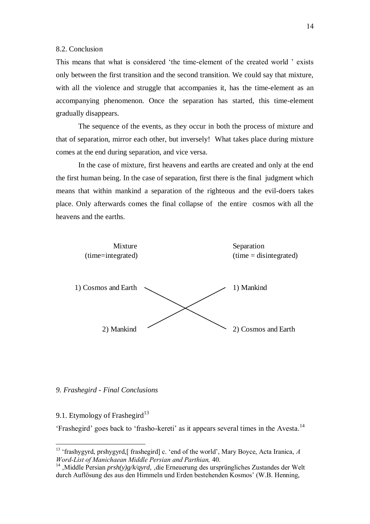#### 8.2. Conclusion

This means that what is considered 'the time-element of the created world ' exists only between the first transition and the second transition. We could say that mixture, with all the violence and struggle that accompanies it, has the time-element as an accompanying phenomenon. Once the separation has started, this time-element gradually disappears.

The sequence of the events, as they occur in both the process of mixture and that of separation, mirror each other, but inversely! What takes place during mixture comes at the end during separation, and vice versa.

In the case of mixture, first heavens and earths are created and only at the end the first human being. In the case of separation, first there is the final judgment which means that within mankind a separation of the righteous and the evil-doers takes place. Only afterwards comes the final collapse of the entire cosmos with all the heavens and the earths.



#### *9. Frashegird - Final Conclusions*

# 9.1. Etymology of Frashegird<sup>13</sup>

 $\overline{a}$ 

'Frashegird' goes back to 'frasho-kereti' as it appears several times in the Avesta.<sup>14</sup>

<sup>&</sup>lt;sup>13</sup> 'frashygyrd, prshygyrd,[ frashegird] c. 'end of the world', Mary Boyce, Acta Iranica, A *Word-List of Manichaean Middle Persian and Parthian,* 40.

<sup>&</sup>lt;sup>14</sup> Middle Persian *prsh(y)g/k/qyrd*, die Erneuerung des ursprüngliches Zustandes der Welt durch Auflösung des aus den Himmeln und Erden bestehenden Kosmos' (W.B. Henning,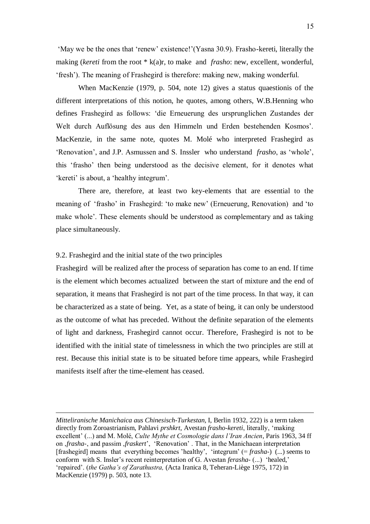'May we be the ones that 'renew' existence!'(Yasna 30.9). Frasho-kereti, literally the making (*kereti* from the root \* k(a)r, to make and *frasho*: new, excellent, wonderful, 'fresh'). The meaning of Frashegird is therefore: making new, making wonderful.

When MacKenzie (1979, p. 504, note 12) gives a status quaestionis of the different interpretations of this notion, he quotes, among others, W.B.Henning who defines Frashegird as follows: 'die Erneuerung des ursprunglichen Zustandes der Welt durch Auflösung des aus den Himmeln und Erden bestehenden Kosmos'. MacKenzie, in the same note, quotes M. Molé who interpreted Frashegird as 'Renovation', and J.P. Asmussen and S. Inssler who understand *frasho*, as 'whole', this 'frasho' then being understood as the decisive element, for it denotes what 'kereti' is about, a 'healthy integrum'.

There are, therefore, at least two key-elements that are essential to the meaning of 'frasho' in Frashegird: 'to make new' (Erneuerung, Renovation) and 'to make whole'. These elements should be understood as complementary and as taking place simultaneously.

### 9.2. Frashegird and the initial state of the two principles

 $\overline{a}$ 

Frashegird will be realized after the process of separation has come to an end. If time is the element which becomes actualized between the start of mixture and the end of separation, it means that Frashegird is not part of the time process. In that way, it can be characterized as a state of being. Yet, as a state of being, it can only be understood as the outcome of what has preceded. Without the definite separation of the elements of light and darkness, Frashegird cannot occur. Therefore, Frashegird is not to be identified with the initial state of timelessness in which the two principles are still at rest. Because this initial state is to be situated before time appears, while Frashegird manifests itself after the time-element has ceased.

*Mitteliranische Manichaica aus Chinesisch-Turkestan,* I, Berlin 1932, 222) is a term taken directly from Zoroastrianism, Pahlavi *prshkrt,* Avestan *frasho-kereti*, literally' 'making excellent' (...) and M. Molé, *Culte Mythe et Cosmologie dans l'Iran Ancien*, Paris 1963, 34 ff on *frasha*-, and passim *fraskert'*, 'Renovation'. That, in the Manichaean interpretation [frashegird] means that everything becomes 'healthy', 'integrum' (= *frasha-*) (...) seems to conform with S. Insler's recent reinterpretation of G. Avestan *ferasha-* (...) 'healed,' 'repaired'. (*the Gatha's of Zarathustra,* (Acta Iranica 8, Teheran-Liège 1975, 172) in MacKenzie (1979) p. 503, note 13.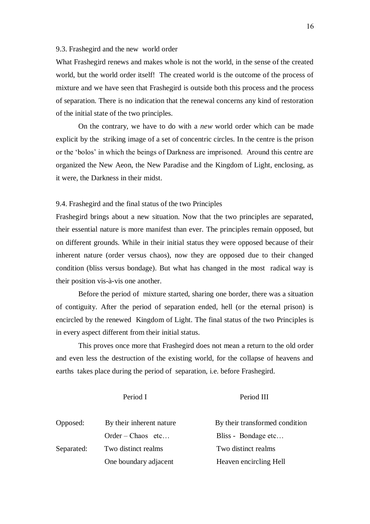#### 9.3. Frashegird and the new world order

What Frashegird renews and makes whole is not the world, in the sense of the created world, but the world order itself! The created world is the outcome of the process of mixture and we have seen that Frashegird is outside both this process and the process of separation. There is no indication that the renewal concerns any kind of restoration of the initial state of the two principles.

On the contrary, we have to do with a *new* world order which can be made explicit by the striking image of a set of concentric circles. In the centre is the prison or the 'bolos' in which the beings of Darkness are imprisoned. Around this centre are organized the New Aeon, the New Paradise and the Kingdom of Light, enclosing, as it were, the Darkness in their midst.

#### 9.4. Frashegird and the final status of the two Principles

Frashegird brings about a new situation. Now that the two principles are separated, their essential nature is more manifest than ever. The principles remain opposed, but on different grounds. While in their initial status they were opposed because of their inherent nature (order versus chaos), now they are opposed due to their changed condition (bliss versus bondage). But what has changed in the most radical way is their position vis-à-vis one another.

Before the period of mixture started, sharing one border, there was a situation of contiguity. After the period of separation ended, hell (or the eternal prison) is encircled by the renewed Kingdom of Light. The final status of the two Principles is in every aspect different from their initial status.

This proves once more that Frashegird does not mean a return to the old order and even less the destruction of the existing world, for the collapse of heavens and earths takes place during the period of separation, i.e. before Frashegird.

Period I Period III

| Opposed:   | By their inherent nature | By their transformed condition |
|------------|--------------------------|--------------------------------|
|            | $Order-Chaos$ etc        | Bliss - Bondage etc            |
| Separated: | Two distinct realms      | Two distinct realms            |
|            | One boundary adjacent    | Heaven encircling Hell         |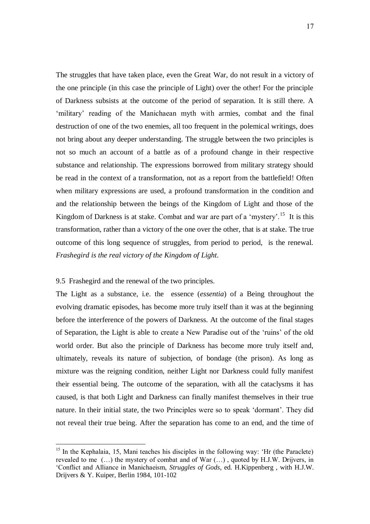The struggles that have taken place, even the Great War, do not result in a victory of the one principle (in this case the principle of Light) over the other! For the principle of Darkness subsists at the outcome of the period of separation. It is still there. A 'military' reading of the Manichaean myth with armies, combat and the final destruction of one of the two enemies, all too frequent in the polemical writings, does not bring about any deeper understanding. The struggle between the two principles is not so much an account of a battle as of a profound change in their respective substance and relationship. The expressions borrowed from military strategy should be read in the context of a transformation, not as a report from the battlefield! Often when military expressions are used, a profound transformation in the condition and and the relationship between the beings of the Kingdom of Light and those of the Kingdom of Darkness is at stake. Combat and war are part of a 'mystery'.<sup>15</sup> It is this transformation, rather than a victory of the one over the other, that is at stake. The true outcome of this long sequence of struggles, from period to period, is the renewal. *Frashegird is the real victory of the Kingdom of Light*.

#### 9.5 Frashegird and the renewal of the two principles.

 $\overline{a}$ 

The Light as a substance, i.e. the essence (*essentia*) of a Being throughout the evolving dramatic episodes, has become more truly itself than it was at the beginning before the interference of the powers of Darkness. At the outcome of the final stages of Separation, the Light is able to create a New Paradise out of the 'ruins' of the old world order. But also the principle of Darkness has become more truly itself and, ultimately, reveals its nature of subjection, of bondage (the prison). As long as mixture was the reigning condition, neither Light nor Darkness could fully manifest their essential being. The outcome of the separation, with all the cataclysms it has caused, is that both Light and Darkness can finally manifest themselves in their true nature. In their initial state, the two Principles were so to speak 'dormant'. They did not reveal their true being. After the separation has come to an end, and the time of

 $15$  In the Kephalaia, 15, Mani teaches his disciples in the following way: 'Hr (the Paraclete) revealed to me (…) the mystery of combat and of War (…) , quoted by H.J.W. Drijvers, in 'Conflict and Alliance in Manichaeism, *Struggles of Gods,* ed. H.Kippenberg , with H.J.W. Drijvers & Y. Kuiper, Berlin 1984, 101-102